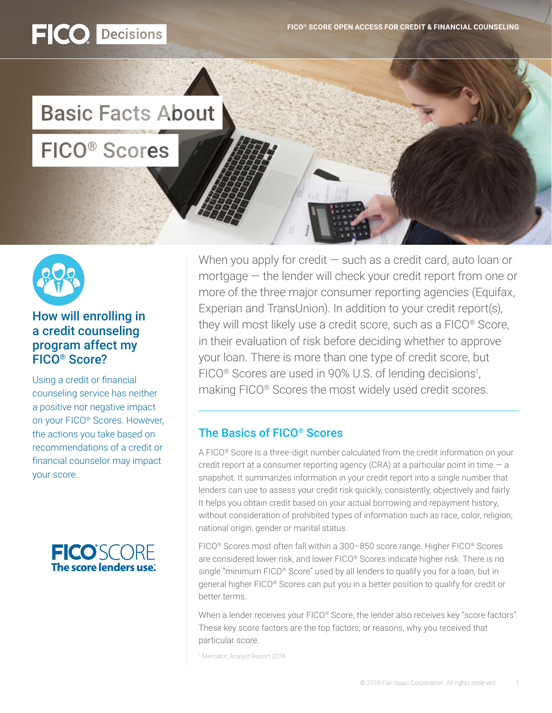

# **Basic Facts About**

# **FICO<sup>®</sup>** Scores

FICO Decisions



### How will enrolling in a credit counseling program affect my FICO® Score?

Using a credit or financial counseling service has neither a positive nor negative impact on your FICO® Scores. However, the actions you take based on recommendations of a credit or financial counselor may impact your score.



When you apply for credit  $-$  such as a credit card, auto loan or mortgage — the lender will check your credit report from one or more of the three major consumer reporting agencies (Equifax, Experian and TransUnion). In addition to your credit report(s), they will most likely use a credit score, such as a FICO® Score, in their evaluation of risk before deciding whether to approve your loan. There is more than one type of credit score, but FICO<sup>®</sup> Scores are used in 90% U.S. of lending decisions<sup>1</sup>, making FICO® Scores the most widely used credit scores.

## The Basics of FICO® Scores

A FICO® Score is a three-digit number calculated from the credit information on your credit report at a consumer reporting agency (CRA) at a particular point in time  $-$  a snapshot. It summarizes information in your credit report into a single number that lenders can use to assess your credit risk quickly, consistently, objectively and fairly. It helps you obtain credit based on your actual borrowing and repayment history, without consideration of prohibited types of information such as race, color, religion, national origin, gender or marital status.

FICO® Scores most often fall within a 300–850 score range. Higher FICO® Scores are considered lower risk, and lower FICO® Scores indicate higher risk. There is no single "minimum FICO® Score" used by all lenders to qualify you for a loan, but in general higher FICO® Scores can put you in a better position to qualify for credit or better terms.

When a lender receives your FICO® Score, the lender also receives key "score factors". These key score factors are the top factors, or reasons, why you received that particular score.

1 Mercator, Analyst Report 2018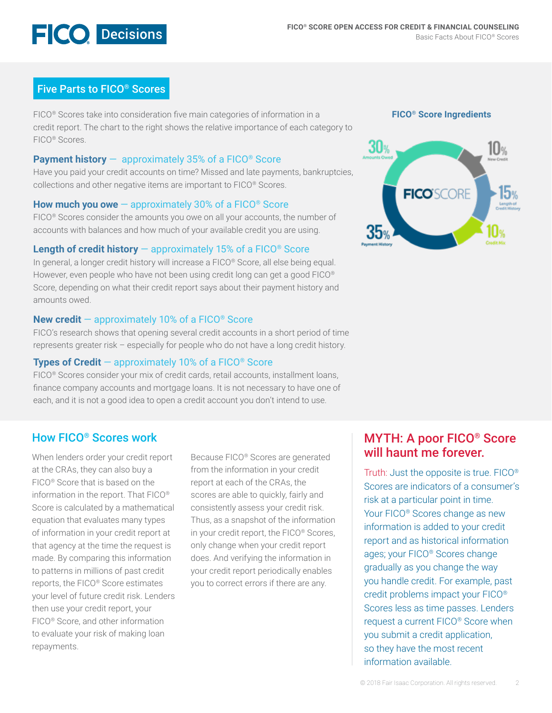

### Five Parts to FICO® Scores

FICO® Scores take into consideration five main categories of information in a credit report. The chart to the right shows the relative importance of each category to FICO® Scores.

### **Payment history** — approximately 35% of a FICO® Score

Have you paid your credit accounts on time? Missed and late payments, bankruptcies, collections and other negative items are important to FICO® Scores.

### **How much you owe** — approximately 30% of a FICO® Score

FICO<sup>®</sup> Scores consider the amounts you owe on all your accounts, the number of accounts with balances and how much of your available credit you are using.

### **Length of credit history** — approximately 15% of a FICO® Score

In general, a longer credit history will increase a FICO® Score, all else being equal. However, even people who have not been using credit long can get a good FICO<sup>®</sup> Score, depending on what their credit report says about their payment history and amounts owed.

### **New credit** — approximately 10% of a FICO® Score

FICO's research shows that opening several credit accounts in a short period of time represents greater risk – especially for people who do not have a long credit history.

### **Types of Credit** — approximately 10% of a FICO® Score

FICO® Scores consider your mix of credit cards, retail accounts, installment loans, finance company accounts and mortgage loans. It is not necessary to have one of each, and it is not a good idea to open a credit account you don't intend to use.

### How FICO® Scores work

When lenders order your credit report at the CRAs, they can also buy a FICO® Score that is based on the information in the report. That FICO® Score is calculated by a mathematical equation that evaluates many types of information in your credit report at that agency at the time the request is made. By comparing this information to patterns in millions of past credit reports, the FICO® Score estimates your level of future credit risk. Lenders then use your credit report, your FICO® Score, and other information to evaluate your risk of making loan repayments.

Because FICO® Scores are generated from the information in your credit report at each of the CRAs, the scores are able to quickly, fairly and consistently assess your credit risk. Thus, as a snapshot of the information in your credit report, the FICO® Scores, only change when your credit report does. And verifying the information in your credit report periodically enables you to correct errors if there are any.

**FICO® Score Ingredients**



## MYTH: A poor FICO® Score will haunt me forever.

Truth: Just the opposite is true. FICO® Scores are indicators of a consumer's risk at a particular point in time. Your FICO® Scores change as new information is added to your credit report and as historical information ages; your FICO® Scores change gradually as you change the way you handle credit. For example, past credit problems impact your FICO® Scores less as time passes. Lenders request a current FICO® Score when you submit a credit application, so they have the most recent information available.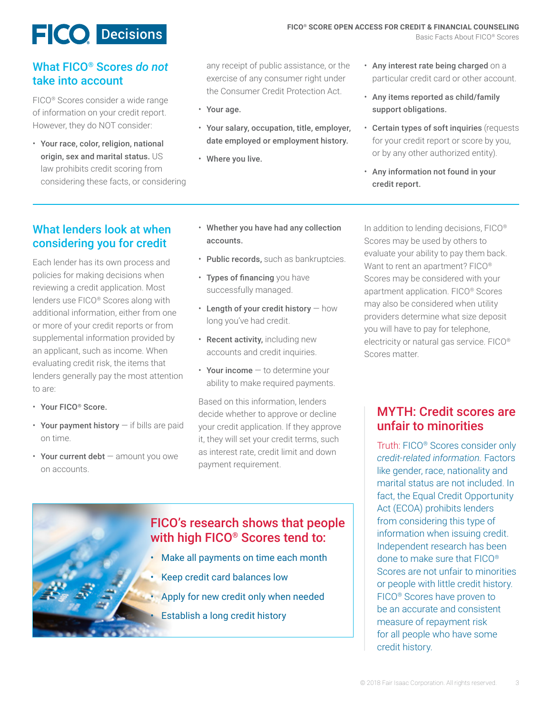# **E** CO Decisions

### What FICO® Scores *do not* take into account

FICO® Scores consider a wide range of information on your credit report. However, they do NOT consider:

• Your race, color, religion, national origin, sex and marital status. US law prohibits credit scoring from considering these facts, or considering any receipt of public assistance, or the exercise of any consumer right under the Consumer Credit Protection Act.

- Your age.
- Your salary, occupation, title, employer, date employed or employment history.
- Where you live.
- Any interest rate being charged on a particular credit card or other account.
- Any items reported as child/family support obligations.
- Certain types of soft inquiries (requests for your credit report or score by you, or by any other authorized entity).
- Any information not found in your credit report.

### What lenders look at when considering you for credit

Each lender has its own process and policies for making decisions when reviewing a credit application. Most lenders use FICO® Scores along with additional information, either from one or more of your credit reports or from supplemental information provided by an applicant, such as income. When evaluating credit risk, the items that lenders generally pay the most attention to are:

- Your FICO® Score.
- Your payment history if bills are paid on time.
- Your current debt amount you owe on accounts.
- Whether you have had any collection accounts.
- Public records, such as bankruptcies.
- Types of financing you have successfully managed.
- $\cdot$  Length of your credit history  $-$  how long you've had credit.
- Recent activity, including new accounts and credit inquiries.
- Your income to determine your ability to make required payments.

Based on this information, lenders decide whether to approve or decline your credit application. If they approve it, they will set your credit terms, such as interest rate, credit limit and down payment requirement.



In addition to lending decisions, FICO® Scores may be used by others to evaluate your ability to pay them back. Want to rent an apartment? FICO<sup>®</sup> Scores may be considered with your apartment application. FICO® Scores may also be considered when utility providers determine what size deposit you will have to pay for telephone, electricity or natural gas service. FICO® Scores matter.

## MYTH: Credit scores are unfair to minorities

Truth: FICO® Scores consider only *credit-related information.* Factors like gender, race, nationality and marital status are not included. In fact, the Equal Credit Opportunity Act (ECOA) prohibits lenders from considering this type of information when issuing credit. Independent research has been done to make sure that FICO® Scores are not unfair to minorities or people with little credit history. FICO® Scores have proven to be an accurate and consistent measure of repayment risk for all people who have some credit history.